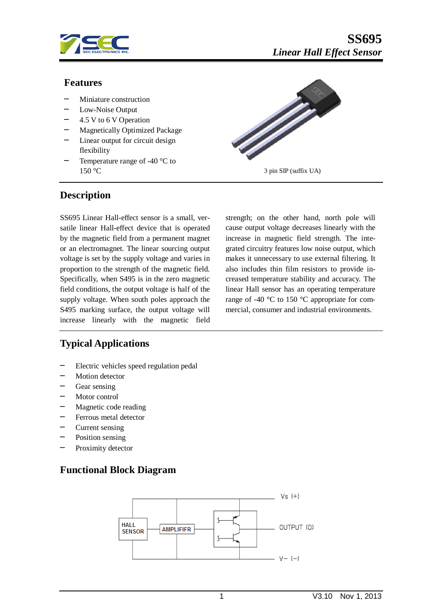

#### **Features**

- Miniature construction
- Low-Noise Output
- ─ 4.5 V to 6 V Operation
- Magnetically Optimized Package
- ─ Linear output for circuit design flexibility
- Temperature range of -40  $\degree$ C to



### **Description**

SS695 Linear Hall-effect sensor is a small, versatile linear Hall-effect device that is operated by the magnetic field from a permanent magnet or an electromagnet. The linear sourcing output voltage is set by the supply voltage and varies in proportion to the strength of the magnetic field. Specifically, when S495 is in the zero magnetic field conditions, the output voltage is half of the supply voltage. When south poles approach the S495 marking surface, the output voltage will increase linearly with the magnetic field strength; on the other hand, north pole will cause output voltage decreases linearly with the increase in magnetic field strength. The integrated circuitry features low noise output, which makes it unnecessary to use external filtering. It also includes thin film resistors to provide increased temperature stability and accuracy. The linear Hall sensor has an operating temperature range of -40 °C to 150 °C appropriate for commercial, consumer and industrial environments.

## **Typical Applications**

- Electric vehicles speed regulation pedal
- Motion detector
- Gear sensing
- ─ Motor control
- Magnetic code reading
- Ferrous metal detector
- Current sensing
- ─ Position sensing
- Proximity detector

## **Functional Block Diagram**

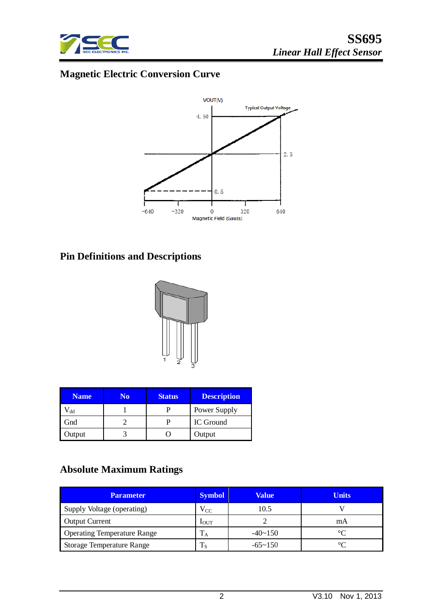

# **Magnetic Electric Conversion Curve**



# **Pin Definitions and Descriptions**



| <b>Name</b> | N٥ | <b>Status</b> | <b>Description</b> |
|-------------|----|---------------|--------------------|
| dd          |    |               | Power Supply       |
| Gnd         |    |               | IC Ground          |
| Output      |    |               | Output             |

# **Absolute Maximum Ratings**

| <b>Parameter</b>                   | <b>Symbol</b>    | <b>Value</b>   | <b>Units</b> |
|------------------------------------|------------------|----------------|--------------|
| Supply Voltage (operating)         | $\rm V_{CC}$     | 10.5           |              |
| <b>Output Current</b>              | 1 <sub>OUT</sub> |                | mA           |
| <b>Operating Temperature Range</b> | ĪА               | $-40 \sim 150$ |              |
| <b>Storage Temperature Range</b>   | 18               | $-65 \sim 150$ |              |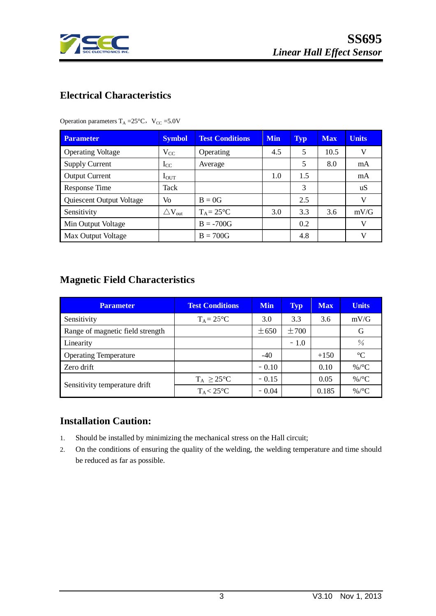

## **Electrical Characteristics**

Operation parameters  $T_A = 25^{\circ}C$ ,  $V_{CC} = 5.0V$ 

| <b>Parameter</b>         | <b>Symbol</b>                | <b>Test Conditions</b> | <b>Min</b> | <b>Typ</b> | <b>Max</b> | <b>Units</b> |
|--------------------------|------------------------------|------------------------|------------|------------|------------|--------------|
| <b>Operating Voltage</b> | $V_{CC}$                     | Operating              | 4.5        | 5          | 10.5       | V            |
| <b>Supply Current</b>    | $I_{CC}$                     | Average                |            | 5          | 8.0        | mA           |
| <b>Output Current</b>    | $I_{\rm{OUT}}$               |                        | 1.0        | 1.5        |            | mA           |
| Response Time            | Tack                         |                        |            | 3          |            | uS           |
| Quiescent Output Voltage | Vo                           | $B = 0G$               |            | 2.5        |            | V            |
| Sensitivity              | $\triangle$ V <sub>out</sub> | $T_A = 25^{\circ}C$    | 3.0        | 3.3        | 3.6        | mV/G         |
| Min Output Voltage       |                              | $B = -700G$            |            | 0.2        |            | V            |
| Max Output Voltage       |                              | $B = 700G$             |            | 4.8        |            | V            |

## **Magnetic Field Characteristics**

| <b>Parameter</b>                 | <b>Test Conditions</b> | <b>Min</b> | Typ       | <b>Max</b> | <b>Units</b>    |
|----------------------------------|------------------------|------------|-----------|------------|-----------------|
| Sensitivity                      | $T_A = 25$ °C          | 3.0        | 3.3       | 3.6        | mV/G            |
| Range of magnetic field strength |                        | $\pm 650$  | $\pm 700$ |            | G               |
| Linearity                        |                        |            | $-1.0$    |            | $\frac{0}{0}$   |
| <b>Operating Temperature</b>     |                        | $-40$      |           | $+150$     | $\rm ^{\circ}C$ |
| Zero drift                       |                        | $-0.10$    |           | 0.10       | %/ $\rm ^{o}C$  |
| Sensitivity temperature drift    | $T_A \geq 25^{\circ}C$ | $-0.15$    |           | 0.05       | %/ $\rm ^{o}C$  |
|                                  | $T_A < 25$ °C          | $-0.04$    |           | 0.185      | %/ $\rm ^{o}C$  |

## **Installation Caution:**

- 1. Should be installed by minimizing the mechanical stress on the Hall circuit;
- 2. On the conditions of ensuring the quality of the welding, the welding temperature and time should be reduced as far as possible.